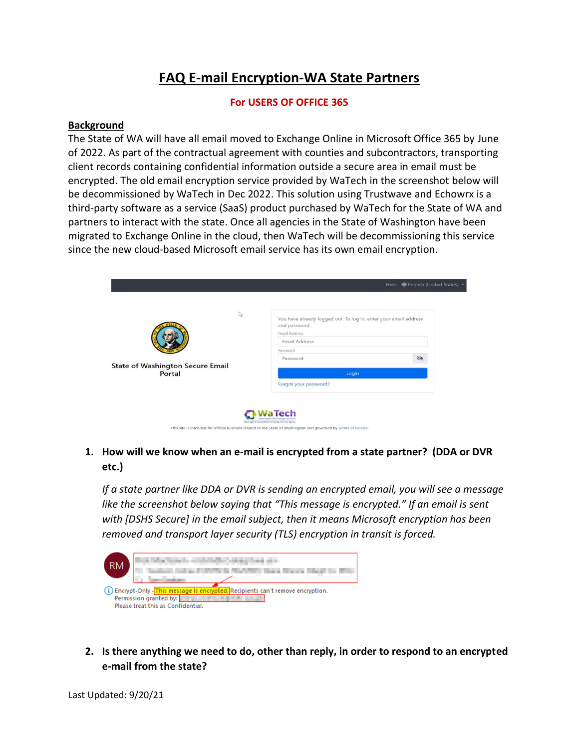# **FAQ E-mail Encryption-WA State Partners**

#### **For USERS OF OFFICE 365**

#### **Background**

The State of WA will have all email moved to Exchange Online in Microsoft Office 365 by June of 2022. As part of the contractual agreement with counties and subcontractors, transporting client records containing confidential information outside a secure area in email must be encrypted. The old email encryption service provided by WaTech in the screenshot below will be decommissioned by WaTech in Dec 2022. This solution using Trustwave and Echowrx is a third-party software as a service (SaaS) product purchased by WaTech for the State of WA and partners to interact with the state. Once all agencies in the State of Washington have been migrated to Exchange Online in the cloud, then WaTech will be decommissioning this service since the new cloud-based Microsoft email service has its own email encryption.

|                                                                 | Help (Finglish (United States)                                                                                                                                      |
|-----------------------------------------------------------------|---------------------------------------------------------------------------------------------------------------------------------------------------------------------|
| $\sqrt{2}$<br><b>State of Washington Secure Email</b><br>Portal | You have already logged out. To log in, enter your email address<br>and password.<br><b>Email Address</b><br>Email Address<br>Password<br>$\mathscr{D}$<br>Password |
|                                                                 | Login<br>Forgot your password?                                                                                                                                      |
|                                                                 | <b>WaTech</b><br>Misstergion's Consentated Technology Services Agenc                                                                                                |

## **1. How will we know when an e-mail is encrypted from a state partner? (DDA or DVR etc.)**

*If a state partner like DDA or DVR is sending an encrypted email, you will see a message like the screenshot below saying that "This message is encrypted." If an email is sent with [DSHS Secure] in the email subject, then it means Microsoft encryption has been removed and transport layer security (TLS) encryption in transit is forced.*



**2. Is there anything we need to do, other than reply, in order to respond to an encrypted e-mail from the state?**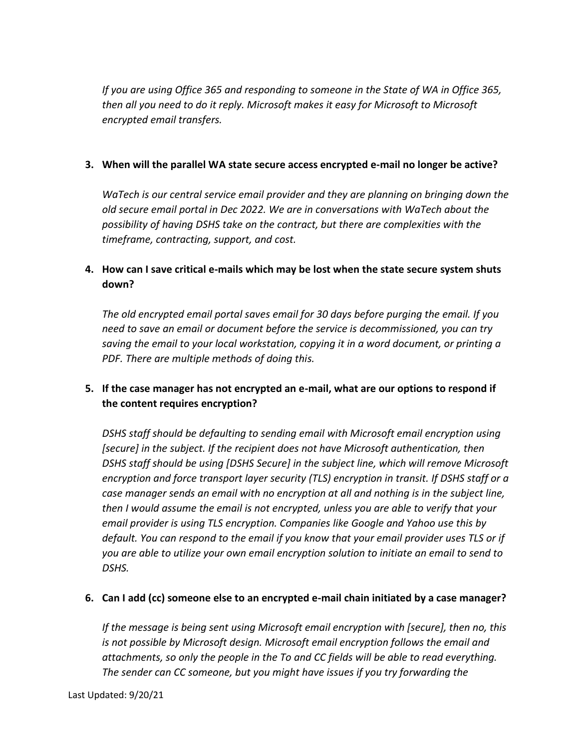*If you are using Office 365 and responding to someone in the State of WA in Office 365, then all you need to do it reply. Microsoft makes it easy for Microsoft to Microsoft encrypted email transfers.* 

#### **3. When will the parallel WA state secure access encrypted e-mail no longer be active?**

*WaTech is our central service email provider and they are planning on bringing down the old secure email portal in Dec 2022. We are in conversations with WaTech about the possibility of having DSHS take on the contract, but there are complexities with the timeframe, contracting, support, and cost.*

## **4. How can I save critical e-mails which may be lost when the state secure system shuts down?**

*The old encrypted email portal saves email for 30 days before purging the email. If you need to save an email or document before the service is decommissioned, you can try saving the email to your local workstation, copying it in a word document, or printing a PDF. There are multiple methods of doing this.*

## **5. If the case manager has not encrypted an e-mail, what are our options to respond if the content requires encryption?**

*DSHS staff should be defaulting to sending email with Microsoft email encryption using*  [secure] in the subject. If the recipient does not have Microsoft authentication, then *DSHS staff should be using [DSHS Secure] in the subject line, which will remove Microsoft encryption and force transport layer security (TLS) encryption in transit. If DSHS staff or a case manager sends an email with no encryption at all and nothing is in the subject line, then I would assume the email is not encrypted, unless you are able to verify that your email provider is using TLS encryption. Companies like Google and Yahoo use this by default. You can respond to the email if you know that your email provider uses TLS or if you are able to utilize your own email encryption solution to initiate an email to send to DSHS.* 

#### **6. Can I add (cc) someone else to an encrypted e-mail chain initiated by a case manager?**

*If the message is being sent using Microsoft email encryption with [secure], then no, this is not possible by Microsoft design. Microsoft email encryption follows the email and attachments, so only the people in the To and CC fields will be able to read everything. The sender can CC someone, but you might have issues if you try forwarding the*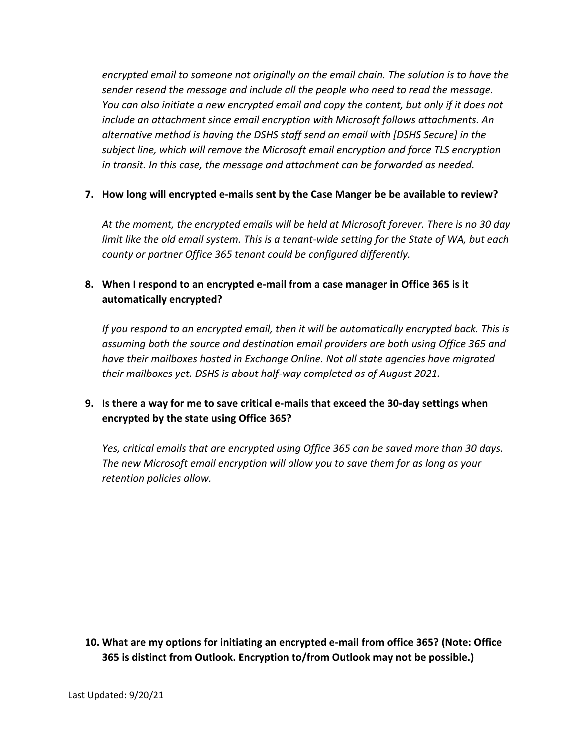*encrypted email to someone not originally on the email chain. The solution is to have the sender resend the message and include all the people who need to read the message. You can also initiate a new encrypted email and copy the content, but only if it does not include an attachment since email encryption with Microsoft follows attachments. An alternative method is having the DSHS staff send an email with [DSHS Secure] in the subject line, which will remove the Microsoft email encryption and force TLS encryption in transit. In this case, the message and attachment can be forwarded as needed.* 

#### **7. How long will encrypted e-mails sent by the Case Manger be be available to review?**

*At the moment, the encrypted emails will be held at Microsoft forever. There is no 30 day limit like the old email system. This is a tenant-wide setting for the State of WA, but each county or partner Office 365 tenant could be configured differently.*

## **8. When I respond to an encrypted e-mail from a case manager in Office 365 is it automatically encrypted?**

*If you respond to an encrypted email, then it will be automatically encrypted back. This is assuming both the source and destination email providers are both using Office 365 and have their mailboxes hosted in Exchange Online. Not all state agencies have migrated their mailboxes yet. DSHS is about half-way completed as of August 2021.*

## **9. Is there a way for me to save critical e-mails that exceed the 30-day settings when encrypted by the state using Office 365?**

*Yes, critical emails that are encrypted using Office 365 can be saved more than 30 days. The new Microsoft email encryption will allow you to save them for as long as your retention policies allow.* 

**10. What are my options for initiating an encrypted e-mail from office 365? (Note: Office 365 is distinct from Outlook. Encryption to/from Outlook may not be possible.)**